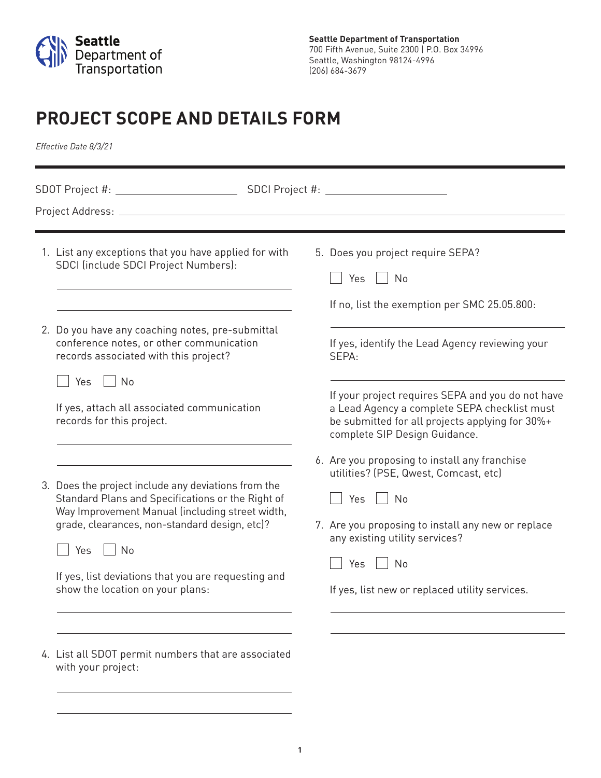

# **PROJECT SCOPE AND DETAILS FORM**

*Effective Date 8/3/21*

|  | 1. List any exceptions that you have applied for with<br>SDCI (include SDCI Project Numbers):<br>2. Do you have any coaching notes, pre-submittal<br>conference notes, or other communication<br>records associated with this project?                                                                                       |  | 5. Does you project require SEPA?<br>Yes<br>$\overline{\phantom{a}}$ No<br>If no, list the exemption per SMC 25.05.800:<br>If yes, identify the Lead Agency reviewing your<br>SEPA:                                                                        |
|--|------------------------------------------------------------------------------------------------------------------------------------------------------------------------------------------------------------------------------------------------------------------------------------------------------------------------------|--|------------------------------------------------------------------------------------------------------------------------------------------------------------------------------------------------------------------------------------------------------------|
|  | Yes     No<br>If yes, attach all associated communication<br>records for this project.                                                                                                                                                                                                                                       |  | If your project requires SEPA and you do not have<br>a Lead Agency a complete SEPA checklist must<br>be submitted for all projects applying for 30%+<br>complete SIP Design Guidance.                                                                      |
|  | 3. Does the project include any deviations from the<br>Standard Plans and Specifications or the Right of<br>Way Improvement Manual (including street width,<br>grade, clearances, non-standard design, etc)?<br>Yes<br>$\vert$ No<br>If yes, list deviations that you are requesting and<br>show the location on your plans: |  | 6. Are you proposing to install any franchise<br>utilities? (PSE, Qwest, Comcast, etc)<br>Yes<br>No<br>7. Are you proposing to install any new or replace<br>any existing utility services?<br>No<br>Yes<br>If yes, list new or replaced utility services. |
|  |                                                                                                                                                                                                                                                                                                                              |  |                                                                                                                                                                                                                                                            |
|  | 4. List all SDOT permit numbers that are associated<br>with your project:                                                                                                                                                                                                                                                    |  |                                                                                                                                                                                                                                                            |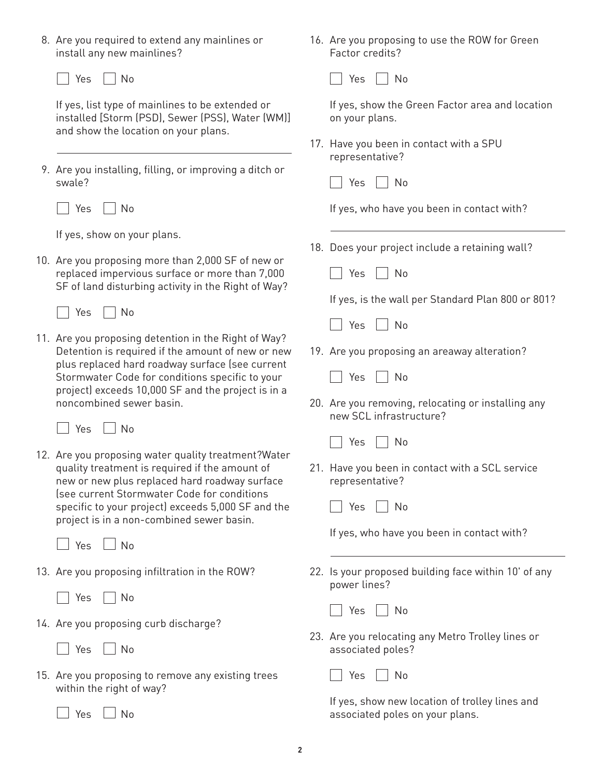8. Are you required to extend any mainlines or install any new mainlines?

Yes No

If yes, list type of mainlines to be extended or installed [Storm (PSD), Sewer (PSS), Water (WM)] and show the location on your plans.

9. Are you installing, filling, or improving a ditch or swale?

No Yes No

If yes, show on your plans.

- 10. Are you proposing more than 2,000 SF of new or replaced impervious surface or more than 7,000 SF of land disturbing activity in the Right of Way?
	- Yes  $\Box$  No
- 11. Are you proposing detention in the Right of Way? Detention is required if the amount of new or new plus replaced hard roadway surface (see current Stormwater Code for conditions specific to your project) exceeds 10,000 SF and the project is in a noncombined sewer basin.

 $\Box$  Yes  $\Box$  No

12. Are you proposing water quality treatment?Water quality treatment is required if the amount of new or new plus replaced hard roadway surface (see current Stormwater Code for conditions specific to your project) exceeds 5,000 SF and the project is in a non-combined sewer basin.

 $Yes \mid No$ 

- 13. Are you proposing infiltration in the ROW?
	- Yes No
- 14. Are you proposing curb discharge?
	- $|$  Yes  $|$   $|$  No
- 15. Are you proposing to remove any existing trees within the right of way?

| Yes || No

16. Are you proposing to use the ROW for Green Factor credits?

Yes No

If yes, show the Green Factor area and location on your plans.

17. Have you been in contact with a SPU representative?

|  | $\sim$<br>$\sim$ |  | $\sim$ |
|--|------------------|--|--------|
|--|------------------|--|--------|

If yes, who have you been in contact with?

- 18. Does your project include a retaining wall?
	- $\Box$  Yes  $\Box$  No

If yes, is the wall per Standard Plan 800 or 801?

|  |  | N٥ |
|--|--|----|
|--|--|----|

19. Are you proposing an areaway alteration?



20. Are you removing, relocating or installing any new SCL infrastructure?



21. Have you been in contact with a SCL service representative?

Yes || No

If yes, who have you been in contact with?

22. Is your proposed building face within 10' of any power lines?

| $\sim$<br>$\sim$ |  | N۱n |
|------------------|--|-----|
|------------------|--|-----|

23. Are you relocating any Metro Trolley lines or associated poles?

**P** Yes **No** 

If yes, show new location of trolley lines and associated poles on your plans.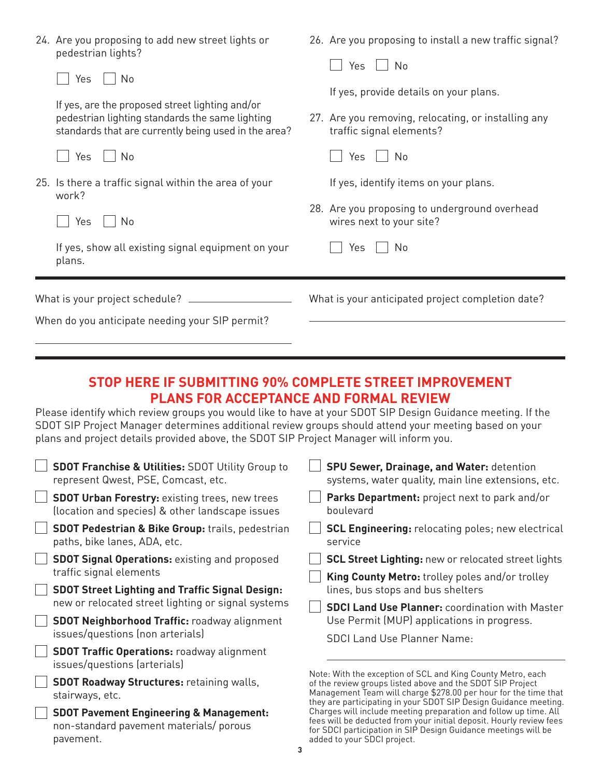|                                                 | 24. Are you proposing to add new street lights or<br>pedestrian lights?<br>Yes<br>No                                                                       | 26. Are you proposing to install a new traffic signal?<br>No<br>Yes                                                       |
|-------------------------------------------------|------------------------------------------------------------------------------------------------------------------------------------------------------------|---------------------------------------------------------------------------------------------------------------------------|
|                                                 | If yes, are the proposed street lighting and/or<br>pedestrian lighting standards the same lighting<br>standards that are currently being used in the area? | If yes, provide details on your plans.<br>27. Are you removing, relocating, or installing any<br>traffic signal elements? |
|                                                 | No<br>Yes                                                                                                                                                  | Yes<br>No                                                                                                                 |
|                                                 | 25. Is there a traffic signal within the area of your<br>work?                                                                                             | If yes, identify items on your plans.                                                                                     |
|                                                 | Yes<br>No                                                                                                                                                  | 28. Are you proposing to underground overhead<br>wires next to your site?                                                 |
|                                                 | If yes, show all existing signal equipment on your<br>plans.                                                                                               | No<br>Yes                                                                                                                 |
|                                                 |                                                                                                                                                            | What is your anticipated project completion date?                                                                         |
| When do you anticipate needing your SIP permit? |                                                                                                                                                            |                                                                                                                           |

### **STOP HERE IF SUBMITTING 90% COMPLETE STREET IMPROVEMENT PLANS FOR ACCEPTANCE AND FORMAL REVIEW**

Please identify which review groups you would like to have at your SDOT SIP Design Guidance meeting. If the SDOT SIP Project Manager determines additional review groups should attend your meeting based on your plans and project details provided above, the SDOT SIP Project Manager will inform you.

| <b>SDOT Franchise &amp; Utilities: SDOT Utility Group to</b><br>represent Qwest, PSE, Comcast, etc.        | <b>SPU Sewer, Drainage, and Water: detention</b><br>systems, water quality, main line extensions, etc.                                                                                                                                   |
|------------------------------------------------------------------------------------------------------------|------------------------------------------------------------------------------------------------------------------------------------------------------------------------------------------------------------------------------------------|
| <b>SDOT Urban Forestry: existing trees, new trees</b><br>(location and species) & other landscape issues   | Parks Department: project next to park and/or<br>boulevard                                                                                                                                                                               |
| <b>SDOT Pedestrian &amp; Bike Group: trails, pedestrian</b><br>paths, bike lanes, ADA, etc.                | <b>SCL Engineering:</b> relocating poles; new electrical<br>service                                                                                                                                                                      |
| <b>SDOT Signal Operations: existing and proposed</b>                                                       | <b>SCL Street Lighting: new or relocated street lights</b>                                                                                                                                                                               |
| traffic signal elements                                                                                    | <b>King County Metro:</b> trolley poles and/or trolley                                                                                                                                                                                   |
| <b>SDOT Street Lighting and Traffic Signal Design:</b>                                                     | lines, bus stops and bus shelters                                                                                                                                                                                                        |
| new or relocated street lighting or signal systems                                                         | <b>SDCI Land Use Planner: coordination with Master</b>                                                                                                                                                                                   |
| <b>SDOT Neighborhood Traffic: roadway alignment</b>                                                        | Use Permit (MUP) applications in progress.                                                                                                                                                                                               |
| issues/questions (non arterials)                                                                           | <b>SDCI Land Use Planner Name:</b>                                                                                                                                                                                                       |
| <b>SDOT Traffic Operations: roadway alignment</b><br>issues/questions (arterials)                          |                                                                                                                                                                                                                                          |
| <b>SDOT Roadway Structures: retaining walls,</b>                                                           | Note: With the exception of SCL and King County Metro, each<br>of the review groups listed above and the SDOT SIP Project                                                                                                                |
| stairways, etc.                                                                                            | Management Team will charge \$278.00 per hour for the time that<br>they are participating in your SDOT SIP Design Guidance meeting.                                                                                                      |
| <b>SDOT Pavement Engineering &amp; Management:</b><br>non-standard pavement materials/ porous<br>pavement. | Charges will include meeting preparation and follow up time. All<br>fees will be deducted from your initial deposit. Hourly review fees<br>for SDCI participation in SIP Design Guidance meetings will be<br>added to your SDCI project. |